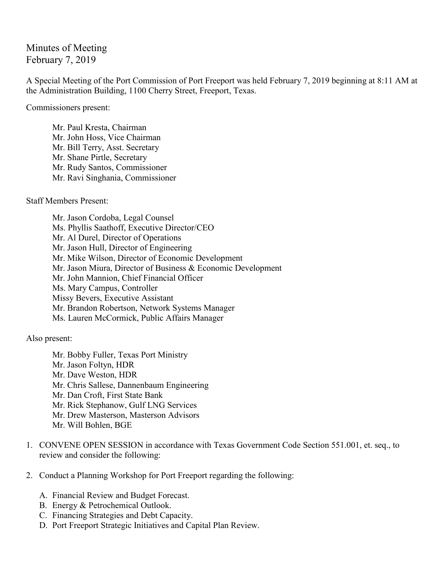## Minutes of Meeting February 7, 2019

A Special Meeting of the Port Commission of Port Freeport was held February 7, 2019 beginning at 8:11 AM at the Administration Building, 1100 Cherry Street, Freeport, Texas.

Commissioners present:

Mr. Paul Kresta, Chairman Mr. John Hoss, Vice Chairman Mr. Bill Terry, Asst. Secretary Mr. Shane Pirtle, Secretary Mr. Rudy Santos, Commissioner Mr. Ravi Singhania, Commissioner

Staff Members Present:

Mr. Jason Cordoba, Legal Counsel Ms. Phyllis Saathoff, Executive Director/CEO Mr. Al Durel, Director of Operations Mr. Jason Hull, Director of Engineering Mr. Mike Wilson, Director of Economic Development Mr. Jason Miura, Director of Business & Economic Development Mr. John Mannion, Chief Financial Officer Ms. Mary Campus, Controller Missy Bevers, Executive Assistant Mr. Brandon Robertson, Network Systems Manager Ms. Lauren McCormick, Public Affairs Manager

Also present:

Mr. Bobby Fuller, Texas Port Ministry Mr. Jason Foltyn, HDR Mr. Dave Weston, HDR Mr. Chris Sallese, Dannenbaum Engineering Mr. Dan Croft, First State Bank Mr. Rick Stephanow, Gulf LNG Services Mr. Drew Masterson, Masterson Advisors Mr. Will Bohlen, BGE

- 1. CONVENE OPEN SESSION in accordance with Texas Government Code Section 551.001, et. seq., to review and consider the following:
- 2. Conduct a Planning Workshop for Port Freeport regarding the following:
	- A. Financial Review and Budget Forecast.
	- B. Energy & Petrochemical Outlook.
	- C. Financing Strategies and Debt Capacity.
	- D. Port Freeport Strategic Initiatives and Capital Plan Review.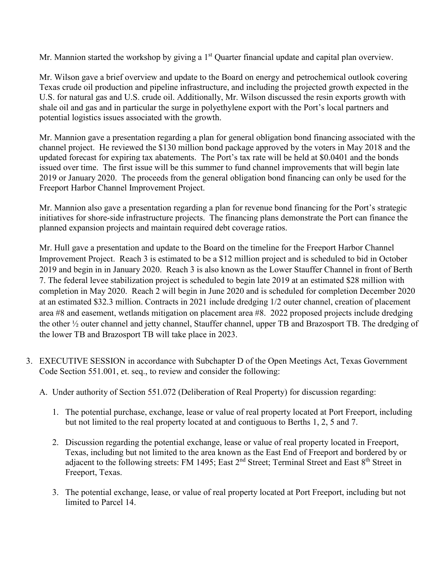Mr. Mannion started the workshop by giving a 1<sup>st</sup> Quarter financial update and capital plan overview.

Mr. Wilson gave a brief overview and update to the Board on energy and petrochemical outlook covering Texas crude oil production and pipeline infrastructure, and including the projected growth expected in the U.S. for natural gas and U.S. crude oil. Additionally, Mr. Wilson discussed the resin exports growth with shale oil and gas and in particular the surge in polyethylene export with the Port's local partners and potential logistics issues associated with the growth.

Mr. Mannion gave a presentation regarding a plan for general obligation bond financing associated with the channel project. He reviewed the \$130 million bond package approved by the voters in May 2018 and the updated forecast for expiring tax abatements. The Port's tax rate will be held at \$0.0401 and the bonds issued over time. The first issue will be this summer to fund channel improvements that will begin late 2019 or January 2020. The proceeds from the general obligation bond financing can only be used for the Freeport Harbor Channel Improvement Project.

Mr. Mannion also gave a presentation regarding a plan for revenue bond financing for the Port's strategic initiatives for shore-side infrastructure projects. The financing plans demonstrate the Port can finance the planned expansion projects and maintain required debt coverage ratios.

Mr. Hull gave a presentation and update to the Board on the timeline for the Freeport Harbor Channel Improvement Project. Reach 3 is estimated to be a \$12 million project and is scheduled to bid in October 2019 and begin in in January 2020. Reach 3 is also known as the Lower Stauffer Channel in front of Berth 7. The federal levee stabilization project is scheduled to begin late 2019 at an estimated \$28 million with completion in May 2020. Reach 2 will begin in June 2020 and is scheduled for completion December 2020 at an estimated \$32.3 million. Contracts in 2021 include dredging 1/2 outer channel, creation of placement area #8 and easement, wetlands mitigation on placement area #8. 2022 proposed projects include dredging the other ½ outer channel and jetty channel, Stauffer channel, upper TB and Brazosport TB. The dredging of the lower TB and Brazosport TB will take place in 2023.

- 3. EXECUTIVE SESSION in accordance with Subchapter D of the Open Meetings Act, Texas Government Code Section 551.001, et. seq., to review and consider the following:
	- A. Under authority of Section 551.072 (Deliberation of Real Property) for discussion regarding:
		- 1. The potential purchase, exchange, lease or value of real property located at Port Freeport, including but not limited to the real property located at and contiguous to Berths 1, 2, 5 and 7.
		- 2. Discussion regarding the potential exchange, lease or value of real property located in Freeport, Texas, including but not limited to the area known as the East End of Freeport and bordered by or adjacent to the following streets: FM 1495; East 2<sup>nd</sup> Street; Terminal Street and East 8<sup>th</sup> Street in Freeport, Texas.
		- 3. The potential exchange, lease, or value of real property located at Port Freeport, including but not limited to Parcel 14.